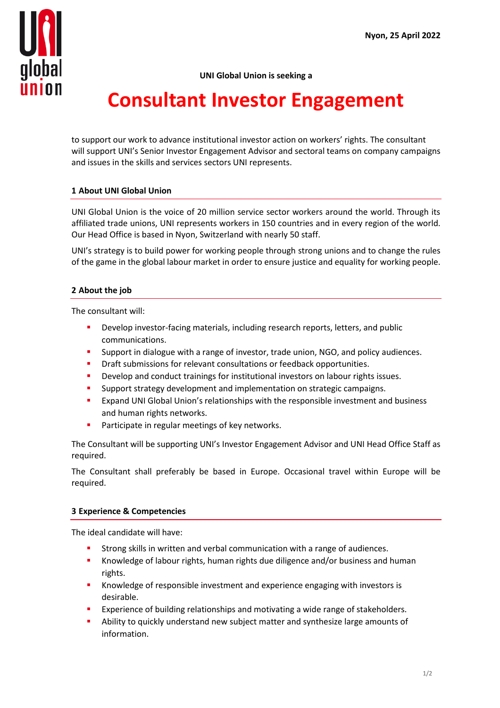

**UNI Global Union is seeking a**

# **Consultant Investor Engagement**

to support our work to advance institutional investor action on workers' rights. The consultant will support UNI's Senior Investor Engagement Advisor and sectoral teams on company campaigns and issues in the skills and services sectors UNI represents.

## **1 About UNI Global Union**

UNI Global Union is the voice of 20 million service sector workers around the world. Through its affiliated trade unions, UNI represents workers in 150 countries and in every region of the world. Our Head Office is based in Nyon, Switzerland with nearly 50 staff.

UNI's strategy is to build power for working people through strong unions and to change the rules of the game in the global labour market in order to ensure justice and equality for working people.

## **2 About the job**

The consultant will:

- **•** Develop investor-facing materials, including research reports, letters, and public communications.
- Support in dialogue with a range of investor, trade union, NGO, and policy audiences.
- **•** Draft submissions for relevant consultations or feedback opportunities.
- Develop and conduct trainings for institutional investors on labour rights issues.
- **E** Support strategy development and implementation on strategic campaigns.
- **EXPALIE IS A UNIMI** Global Union's relationships with the responsible investment and business and human rights networks.
- **•** Participate in regular meetings of key networks.

The Consultant will be supporting UNI's Investor Engagement Advisor and UNI Head Office Staff as required.

The Consultant shall preferably be based in Europe. Occasional travel within Europe will be required.

## **3 Experience & Competencies**

The ideal candidate will have:

- **EXECT:** Strong skills in written and verbal communication with a range of audiences.
- **■** Knowledge of labour rights, human rights due diligence and/or business and human rights.
- **■** Knowledge of responsible investment and experience engaging with investors is desirable.
- **Experience of building relationships and motivating a wide range of stakeholders.**
- Ability to quickly understand new subject matter and synthesize large amounts of information.